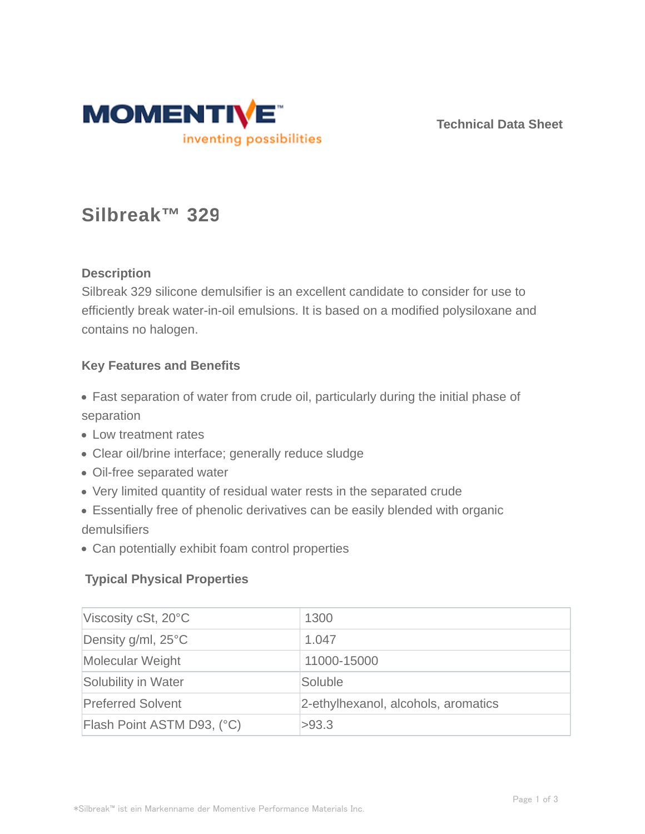

**Technical Data Sheet**

# **Silbreak™ 329**

# **Description**

Silbreak 329 silicone demulsifier is an excellent candidate to consider for use to efficiently break water-in-oil emulsions. It is based on a modified polysiloxane and contains no halogen.

## **Key Features and Benefits**

- Fast separation of water from crude oil, particularly during the initial phase of separation
- Low treatment rates
- Clear oil/brine interface; generally reduce sludge
- Oil-free separated water
- Very limited quantity of residual water rests in the separated crude
- Essentially free of phenolic derivatives can be easily blended with organic demulsifiers
- Can potentially exhibit foam control properties

# **Typical Physical Properties**

| Viscosity cSt, $20^{\circ}$ C | 1300                                |
|-------------------------------|-------------------------------------|
| Density g/ml, $25^{\circ}$ C  | 1.047                               |
| Molecular Weight              | 11000-15000                         |
| Solubility in Water           | Soluble                             |
| <b>Preferred Solvent</b>      | 2-ethylhexanol, alcohols, aromatics |
| Flash Point ASTM D93, (°C)    | >93.3                               |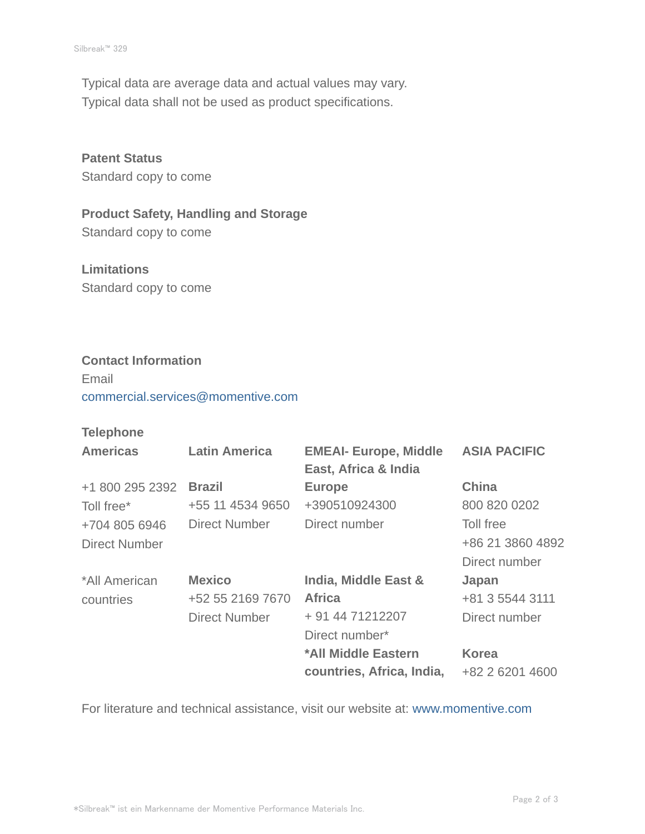Typical data are average data and actual values may vary. Typical data shall not be used as product specifications.

**Patent Status** Standard copy to come

**Product Safety, Handling and Storage** Standard copy to come

**Limitations** Standard copy to come

#### **Contact Information**

Email commercial.services@momentive.com

### **Telephone**

| <b>Americas</b> | <b>Latin America</b> | <b>EMEAI- Europe, Middle</b><br>East, Africa & India | <b>ASIA PACIFIC</b> |
|-----------------|----------------------|------------------------------------------------------|---------------------|
| +1 800 295 2392 | <b>Brazil</b>        | <b>Europe</b>                                        | <b>China</b>        |
| Toll free*      | +55 11 4534 9650     | +390510924300                                        | 800 820 0202        |
| +704 805 6946   | Direct Number        | Direct number                                        | Toll free           |
| Direct Number   |                      |                                                      | +86 21 3860 4892    |
|                 |                      |                                                      | Direct number       |
| *All American   | <b>Mexico</b>        | India, Middle East &                                 | Japan               |
| countries       | +52 55 2169 7670     | <b>Africa</b>                                        | +81 3 5544 3111     |
|                 | <b>Direct Number</b> | + 91 44 71212207                                     | Direct number       |
|                 |                      | Direct number*                                       |                     |
|                 |                      | *All Middle Eastern                                  | <b>Korea</b>        |
|                 |                      | countries, Africa, India,                            | +82 2 6201 4600     |

For literature and technical assistance, visit our website at: www.momentive.com